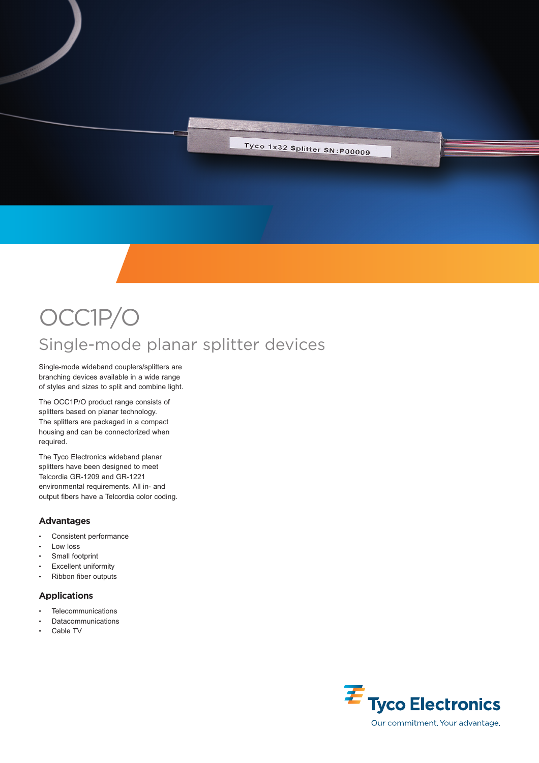

## OCC1P/O Single-mode planar splitter devices

Single-mode wideband couplers/splitters are branching devices available in a wide range of styles and sizes to split and combine light.

The OCC1P/O product range consists of splitters based on planar technology. The splitters are packaged in a compact housing and can be connectorized when required.

The Tyco Electronics wideband planar splitters have been designed to meet Telcordia GR-1209 and GR-1221 environmental requirements. All in- and output fibers have a Telcordia color coding.

## **Advantages**

- Consistent performance
- Low loss
- Small footprint
- **Excellent uniformity**
- Ribbon fiber outputs

## **Applications**

- **Telecommunications**
- **Datacommunications**
- Cable TV